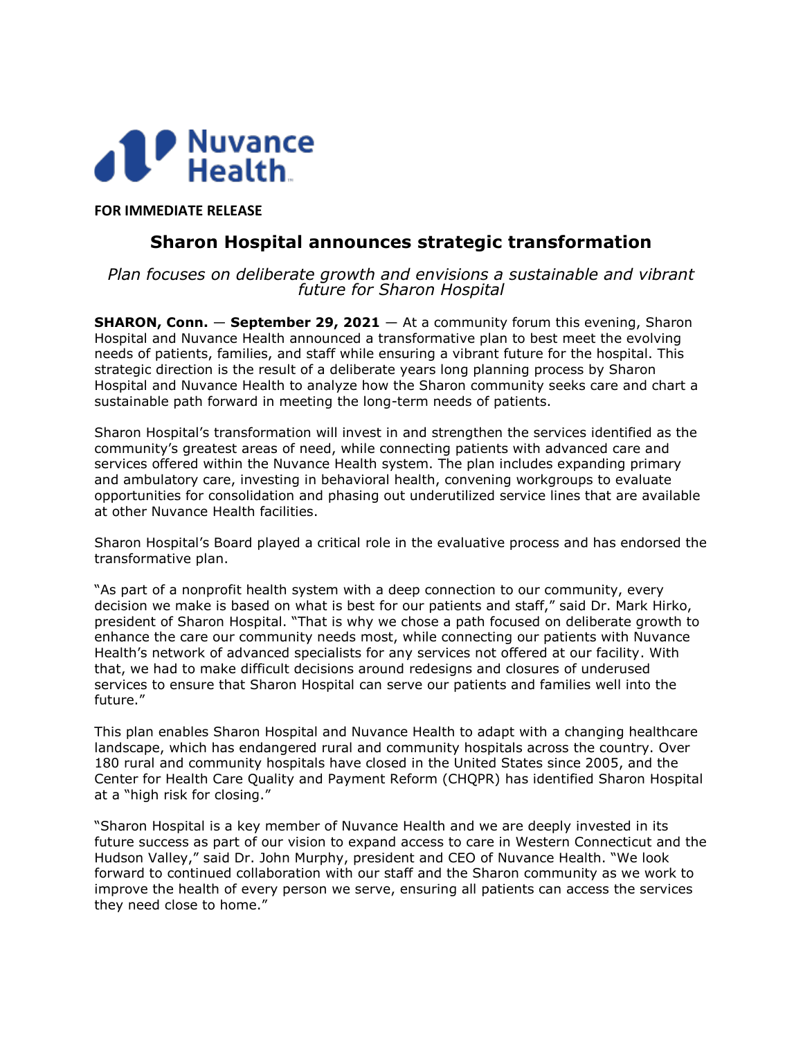

**FOR IMMEDIATE RELEASE**

## **Sharon Hospital announces strategic transformation**

*Plan focuses on deliberate growth and envisions a sustainable and vibrant future for Sharon Hospital*

**SHARON, Conn. — September 29, 2021 — At a community forum this evening, Sharon** Hospital and Nuvance Health announced a transformative plan to best meet the evolving needs of patients, families, and staff while ensuring a vibrant future for the hospital. This strategic direction is the result of a deliberate years long planning process by Sharon Hospital and Nuvance Health to analyze how the Sharon community seeks care and chart a sustainable path forward in meeting the long-term needs of patients.

Sharon Hospital's transformation will invest in and strengthen the services identified as the community's greatest areas of need, while connecting patients with advanced care and services offered within the Nuvance Health system. The plan includes expanding primary and ambulatory care, investing in behavioral health, convening workgroups to evaluate opportunities for consolidation and phasing out underutilized service lines that are available at other Nuvance Health facilities.

Sharon Hospital's Board played a critical role in the evaluative process and has endorsed the transformative plan.

"As part of a nonprofit health system with a deep connection to our community, every decision we make is based on what is best for our patients and staff," said Dr. Mark Hirko, president of Sharon Hospital. "That is why we chose a path focused on deliberate growth to enhance the care our community needs most, while connecting our patients with Nuvance Health's network of advanced specialists for any services not offered at our facility. With that, we had to make difficult decisions around redesigns and closures of underused services to ensure that Sharon Hospital can serve our patients and families well into the future."

This plan enables Sharon Hospital and Nuvance Health to adapt with a changing healthcare landscape, which has endangered rural and community hospitals across the country. Over 180 rural and community hospitals have closed in the United States since 2005, and the Center for Health Care Quality and Payment Reform (CHQPR) has identified Sharon Hospital at a "high risk for closing."

"Sharon Hospital is a key member of Nuvance Health and we are deeply invested in its future success as part of our vision to expand access to care in Western Connecticut and the Hudson Valley," said Dr. John Murphy, president and CEO of Nuvance Health. "We look forward to continued collaboration with our staff and the Sharon community as we work to improve the health of every person we serve, ensuring all patients can access the services they need close to home."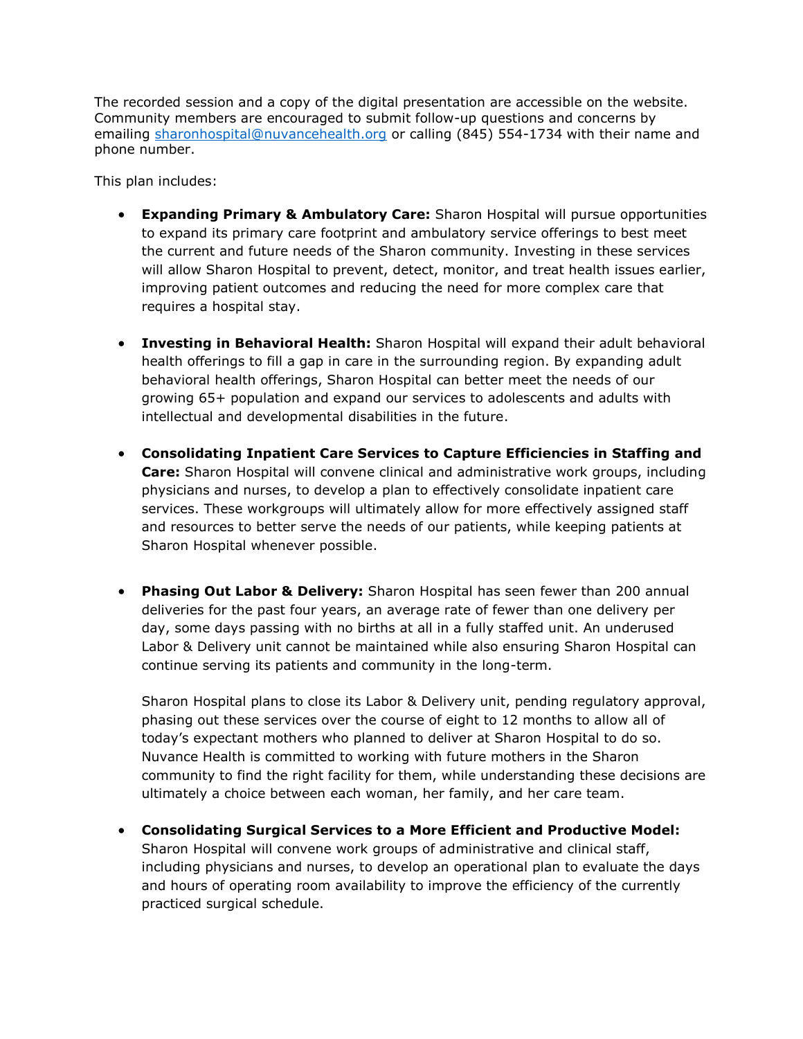The recorded session and a copy of the digital presentation are accessible on the website. Community members are encouraged to submit follow-up questions and concerns by emailing [sharonhospital@nuvancehealth.org](mailto:sharonhospital@nuvancehealth.org) or calling (845) 554-1734 with their name and phone number.

This plan includes:

- **Expanding Primary & Ambulatory Care:** Sharon Hospital will pursue opportunities to expand its primary care footprint and ambulatory service offerings to best meet the current and future needs of the Sharon community. Investing in these services will allow Sharon Hospital to prevent, detect, monitor, and treat health issues earlier, improving patient outcomes and reducing the need for more complex care that requires a hospital stay.
- **Investing in Behavioral Health:** Sharon Hospital will expand their adult behavioral health offerings to fill a gap in care in the surrounding region. By expanding adult behavioral health offerings, Sharon Hospital can better meet the needs of our growing 65+ population and expand our services to adolescents and adults with intellectual and developmental disabilities in the future.
- **Consolidating Inpatient Care Services to Capture Efficiencies in Staffing and Care:** Sharon Hospital will convene clinical and administrative work groups, including physicians and nurses, to develop a plan to effectively consolidate inpatient care services. These workgroups will ultimately allow for more effectively assigned staff and resources to better serve the needs of our patients, while keeping patients at Sharon Hospital whenever possible.
- **Phasing Out Labor & Delivery:** Sharon Hospital has seen fewer than 200 annual deliveries for the past four years, an average rate of fewer than one delivery per day, some days passing with no births at all in a fully staffed unit. An underused Labor & Delivery unit cannot be maintained while also ensuring Sharon Hospital can continue serving its patients and community in the long-term.

Sharon Hospital plans to close its Labor & Delivery unit, pending regulatory approval, phasing out these services over the course of eight to 12 months to allow all of today's expectant mothers who planned to deliver at Sharon Hospital to do so. Nuvance Health is committed to working with future mothers in the Sharon community to find the right facility for them, while understanding these decisions are ultimately a choice between each woman, her family, and her care team.

 **Consolidating Surgical Services to a More Efficient and Productive Model:**  Sharon Hospital will convene work groups of administrative and clinical staff, including physicians and nurses, to develop an operational plan to evaluate the days and hours of operating room availability to improve the efficiency of the currently practiced surgical schedule.